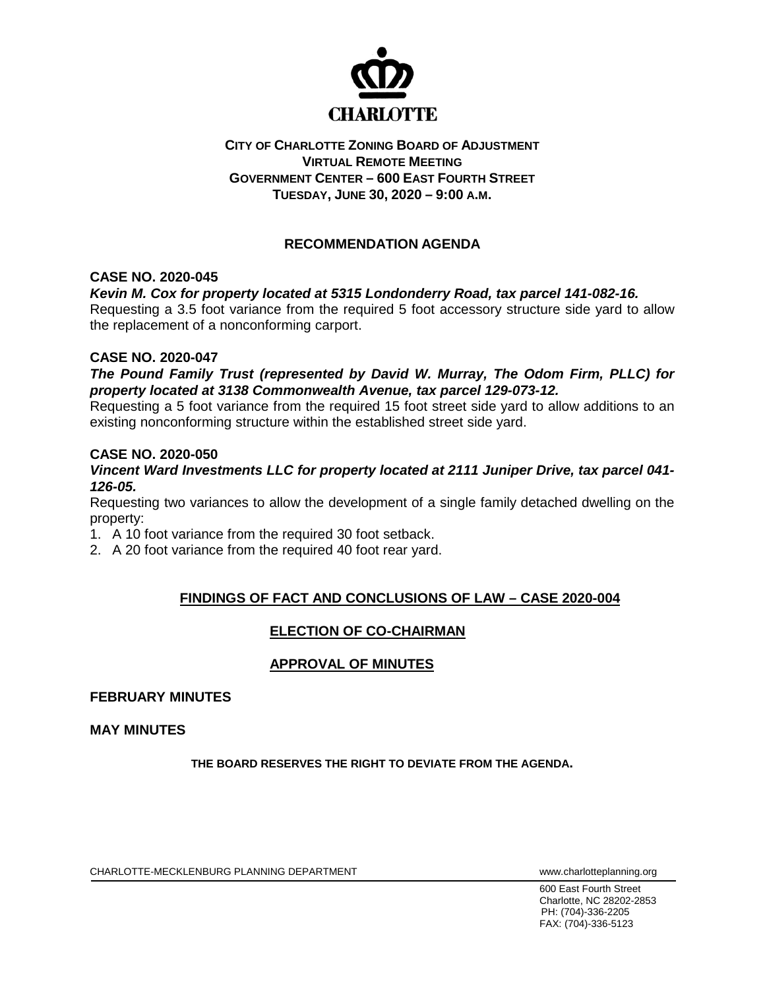

## **CITY OF CHARLOTTE ZONING BOARD OF ADJUSTMENT VIRTUAL REMOTE MEETING GOVERNMENT CENTER – 600 EAST FOURTH STREET TUESDAY, JUNE 30, 2020 – 9:00 A.M.**

# **RECOMMENDATION AGENDA**

## **CASE NO. 2020-045**

### *Kevin M. Cox for property located at 5315 Londonderry Road, tax parcel 141-082-16.*

Requesting a 3.5 foot variance from the required 5 foot accessory structure side yard to allow the replacement of a nonconforming carport.

### **CASE NO. 2020-047**

*The Pound Family Trust (represented by David W. Murray, The Odom Firm, PLLC) for property located at 3138 Commonwealth Avenue, tax parcel 129-073-12.* 

Requesting a 5 foot variance from the required 15 foot street side yard to allow additions to an existing nonconforming structure within the established street side yard.

#### **CASE NO. 2020-050**

#### *Vincent Ward Investments LLC for property located at 2111 Juniper Drive, tax parcel 041- 126-05.*

Requesting two variances to allow the development of a single family detached dwelling on the property:

1. A 10 foot variance from the required 30 foot setback.

2. A 20 foot variance from the required 40 foot rear yard.

## **FINDINGS OF FACT AND CONCLUSIONS OF LAW – CASE 2020-004**

# **ELECTION OF CO-CHAIRMAN**

# **APPROVAL OF MINUTES**

#### **FEBRUARY MINUTES**

**MAY MINUTES**

**THE BOARD RESERVES THE RIGHT TO DEVIATE FROM THE AGENDA.**

CHARLOTTE-MECKLENBURG PLANNING DEPARTMENT www.charlotteplanning.org

600 East Fourth Street Charlotte, NC 28202-2853 PH: (704)-336-2205 FAX: (704)-336-5123